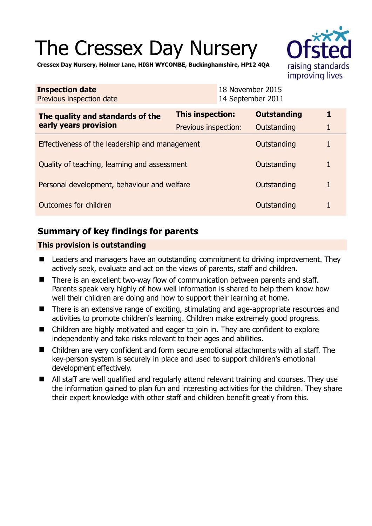# The Cressex Day Nursery



**Cressex Day Nursery, Holmer Lane, HIGH WYCOMBE, Buckinghamshire, HP12 4QA** 

| <b>Inspection date</b><br>Previous inspection date        |                      | 18 November 2015<br>14 September 2011 |                    |  |
|-----------------------------------------------------------|----------------------|---------------------------------------|--------------------|--|
| The quality and standards of the<br>early years provision | This inspection:     |                                       | <b>Outstanding</b> |  |
|                                                           | Previous inspection: |                                       | Outstanding        |  |
| Effectiveness of the leadership and management            |                      |                                       | Outstanding        |  |
| Quality of teaching, learning and assessment              |                      |                                       | Outstanding        |  |
| Personal development, behaviour and welfare               |                      |                                       | Outstanding        |  |
| Outcomes for children                                     |                      |                                       | Outstanding        |  |

# **Summary of key findings for parents**

## **This provision is outstanding**

- Leaders and managers have an outstanding commitment to driving improvement. They actively seek, evaluate and act on the views of parents, staff and children.
- There is an excellent two-way flow of communication between parents and staff. Parents speak very highly of how well information is shared to help them know how well their children are doing and how to support their learning at home.
- There is an extensive range of exciting, stimulating and age-appropriate resources and activities to promote children's learning. Children make extremely good progress.
- Children are highly motivated and eager to join in. They are confident to explore independently and take risks relevant to their ages and abilities.
- Children are very confident and form secure emotional attachments with all staff. The key-person system is securely in place and used to support children's emotional development effectively.
- All staff are well qualified and regularly attend relevant training and courses. They use the information gained to plan fun and interesting activities for the children. They share their expert knowledge with other staff and children benefit greatly from this.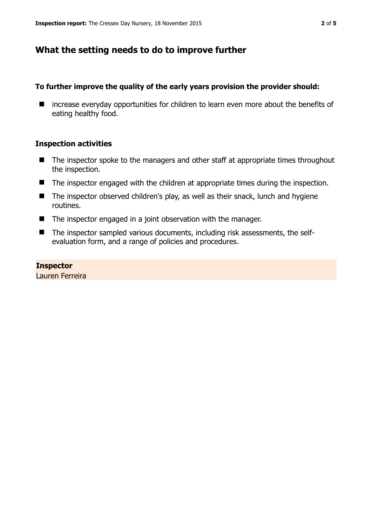# **What the setting needs to do to improve further**

## **To further improve the quality of the early years provision the provider should:**

■ increase everyday opportunities for children to learn even more about the benefits of eating healthy food.

## **Inspection activities**

- The inspector spoke to the managers and other staff at appropriate times throughout the inspection.
- The inspector engaged with the children at appropriate times during the inspection.
- $\blacksquare$  The inspector observed children's play, as well as their snack, lunch and hygiene routines.
- The inspector engaged in a joint observation with the manager.
- The inspector sampled various documents, including risk assessments, the selfevaluation form, and a range of policies and procedures.

## **Inspector**

Lauren Ferreira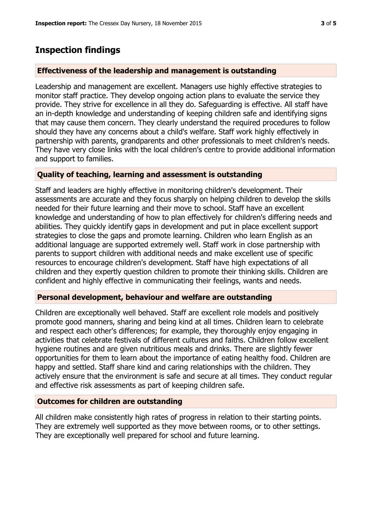## **Inspection findings**

## **Effectiveness of the leadership and management is outstanding**

Leadership and management are excellent. Managers use highly effective strategies to monitor staff practice. They develop ongoing action plans to evaluate the service they provide. They strive for excellence in all they do. Safeguarding is effective. All staff have an in-depth knowledge and understanding of keeping children safe and identifying signs that may cause them concern. They clearly understand the required procedures to follow should they have any concerns about a child's welfare. Staff work highly effectively in partnership with parents, grandparents and other professionals to meet children's needs. They have very close links with the local children's centre to provide additional information and support to families.

## **Quality of teaching, learning and assessment is outstanding**

Staff and leaders are highly effective in monitoring children's development. Their assessments are accurate and they focus sharply on helping children to develop the skills needed for their future learning and their move to school. Staff have an excellent knowledge and understanding of how to plan effectively for children's differing needs and abilities. They quickly identify gaps in development and put in place excellent support strategies to close the gaps and promote learning. Children who learn English as an additional language are supported extremely well. Staff work in close partnership with parents to support children with additional needs and make excellent use of specific resources to encourage children's development. Staff have high expectations of all children and they expertly question children to promote their thinking skills. Children are confident and highly effective in communicating their feelings, wants and needs.

## **Personal development, behaviour and welfare are outstanding**

Children are exceptionally well behaved. Staff are excellent role models and positively promote good manners, sharing and being kind at all times. Children learn to celebrate and respect each other's differences; for example, they thoroughly enjoy engaging in activities that celebrate festivals of different cultures and faiths. Children follow excellent hygiene routines and are given nutritious meals and drinks. There are slightly fewer opportunities for them to learn about the importance of eating healthy food. Children are happy and settled. Staff share kind and caring relationships with the children. They actively ensure that the environment is safe and secure at all times. They conduct regular and effective risk assessments as part of keeping children safe.

## **Outcomes for children are outstanding**

All children make consistently high rates of progress in relation to their starting points. They are extremely well supported as they move between rooms, or to other settings. They are exceptionally well prepared for school and future learning.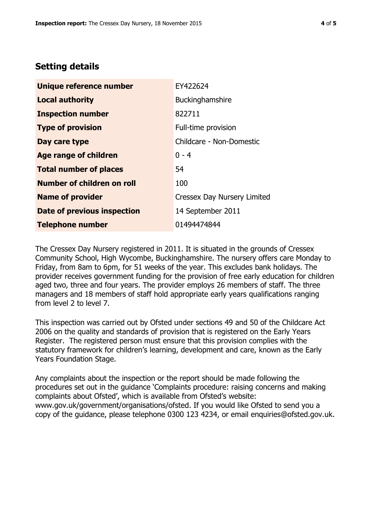# **Setting details**

| Unique reference number            | EY422624                           |  |
|------------------------------------|------------------------------------|--|
| <b>Local authority</b>             | <b>Buckinghamshire</b>             |  |
| <b>Inspection number</b>           | 822711                             |  |
| <b>Type of provision</b>           | Full-time provision                |  |
| Day care type                      | Childcare - Non-Domestic           |  |
| <b>Age range of children</b>       | $0 - 4$                            |  |
| <b>Total number of places</b>      | 54                                 |  |
| Number of children on roll         | 100                                |  |
| <b>Name of provider</b>            | <b>Cressex Day Nursery Limited</b> |  |
| <b>Date of previous inspection</b> | 14 September 2011                  |  |
| <b>Telephone number</b>            | 01494474844                        |  |

The Cressex Day Nursery registered in 2011. It is situated in the grounds of Cressex Community School, High Wycombe, Buckinghamshire. The nursery offers care Monday to Friday, from 8am to 6pm, for 51 weeks of the year. This excludes bank holidays. The provider receives government funding for the provision of free early education for children aged two, three and four years. The provider employs 26 members of staff. The three managers and 18 members of staff hold appropriate early years qualifications ranging from level 2 to level 7.

This inspection was carried out by Ofsted under sections 49 and 50 of the Childcare Act 2006 on the quality and standards of provision that is registered on the Early Years Register. The registered person must ensure that this provision complies with the statutory framework for children's learning, development and care, known as the Early Years Foundation Stage.

Any complaints about the inspection or the report should be made following the procedures set out in the guidance 'Complaints procedure: raising concerns and making complaints about Ofsted', which is available from Ofsted's website: www.gov.uk/government/organisations/ofsted. If you would like Ofsted to send you a copy of the guidance, please telephone 0300 123 4234, or email enquiries@ofsted.gov.uk.